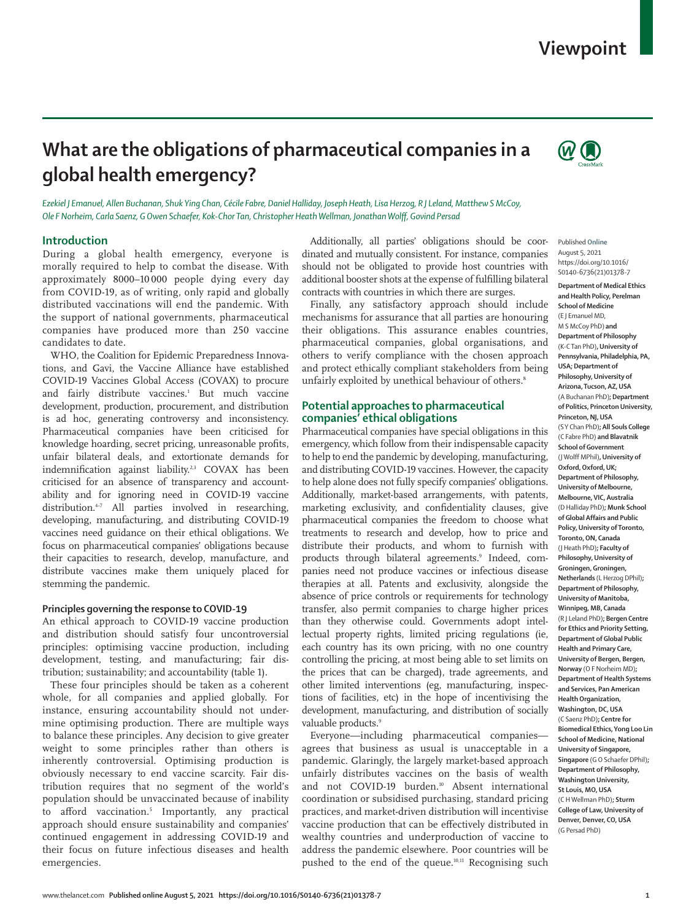# **Viewpoint**



**What are the obligations of pharmaceutical companies in a global health emergency?**

*Ezekiel J Emanuel, Allen Buchanan, Shuk Ying Chan, Cécile Fabre, Daniel Halliday, Joseph Heath, Lisa Herzog, R J Leland, Matthew S McCoy, Ole F Norheim, Carla Saenz, G Owen Schaefer, Kok-Chor Tan, Christopher Heath Wellman, Jonathan Wolff, Govind Persad*

# **Introduction**

During a global health emergency, everyone is morally required to help to combat the disease. With approximately 8000–10 000 people dying every day from COVID-19, as of writing, only rapid and globally distributed vaccinations will end the pandemic. With the support of national governments, pharmaceutical companies have produced more than 250 vaccine candidates to date.

WHO, the Coalition for Epidemic Preparedness Innovations, and Gavi, the Vaccine Alliance have established COVID-19 Vaccines Global Access (COVAX) to procure and fairly distribute vaccines.<sup>1</sup> But much vaccine development, production, procurement, and distribution is ad hoc, generating controversy and inconsistency. Pharmaceutical companies have been criticised for knowledge hoarding, secret pricing, unreasonable profits, unfair bilateral deals, and extortionate demands for indemnification against liability.<sup>2,3</sup> COVAX has been criticised for an absence of transparency and accountability and for ignoring need in COVID-19 vaccine distribution.<sup>4-7</sup> All parties involved in researching, developing, manufacturing, and distributing COVID-19 vaccines need guidance on their ethical obligations. We focus on pharmaceutical companies' obligations because their capacities to research, develop, manufacture, and distribute vaccines make them uniquely placed for stemming the pandemic.

## **Principles governing the response to COVID-19**

An ethical approach to COVID-19 vaccine production and distribution should satisfy four uncontroversial principles: optimising vaccine production, including development, testing, and manufacturing; fair distribution; sustainability; and accountability (table 1).

These four principles should be taken as a coherent whole, for all companies and applied globally. For instance, ensuring accountability should not undermine optimising production. There are multiple ways to balance these principles. Any decision to give greater weight to some principles rather than others is inherently controversial. Optimising production is obviously necessary to end vaccine scarcity. Fair distribution requires that no segment of the world's population should be unvaccinated because of inability to afford vaccination.5 Importantly, any practical approach should ensure sustainability and companies' continued engagement in addressing COVID-19 and their focus on future infectious diseases and health emergencies.

Additionally, all parties' obligations should be coordinated and mutually consistent. For instance, companies should not be obligated to provide host countries with additional booster shots at the expense of fulfilling bilateral contracts with countries in which there are surges.

Finally, any satisfactory approach should include mechanisms for assurance that all parties are honouring their obligations. This assurance enables countries, pharmaceutical companies, global organisations, and others to verify compliance with the chosen approach and protect ethically compliant stakeholders from being unfairly exploited by unethical behaviour of others.<sup>8</sup>

# **Potential approaches to pharmaceutical companies' ethical obligations**

Pharmaceutical companies have special obligations in this emergency, which follow from their indispensable capacity to help to end the pandemic by developing, manufacturing, and distributing COVID-19 vaccines. However, the capacity to help alone does not fully specify companies' obligations. Additionally, market-based arrangements, with patents, marketing exclusivity, and confidentiality clauses, give pharmaceutical companies the freedom to choose what treatments to research and develop, how to price and distribute their products, and whom to furnish with products through bilateral agreements.<sup>9</sup> Indeed, companies need not produce vaccines or infectious disease therapies at all. Patents and exclusivity, alongside the absence of price controls or requirements for technology transfer, also permit companies to charge higher prices than they otherwise could. Governments adopt intellectual property rights, limited pricing regulations (ie, each country has its own pricing, with no one country controlling the pricing, at most being able to set limits on the prices that can be charged), trade agreements, and other limited interventions (eg, manufacturing, inspections of facilities, etc) in the hope of incentivising the development, manufacturing, and distribution of socially valuable products.<sup>9</sup>

Everyone—including pharmaceutical companies agrees that business as usual is unacceptable in a pandemic. Glaringly, the largely market-based approach unfairly distributes vaccines on the basis of wealth and not COVID-19 burden.<sup>10</sup> Absent international coordination or subsidised purchasing, standard pricing practices, and market-driven distribution will incentivise vaccine production that can be effectively distributed in wealthy countries and underproduction of vaccine to address the pandemic elsewhere. Poor countries will be pushed to the end of the queue.10,11 Recognising such

Published **Online** August 5, 2021 https://doi.org/10.1016/ S0140-6736(21)01378-7

**Department of Medical Ethics** 

**and Health Policy, Perelman School of Medicine** (E J Emanuel MD, M S McCoy PhD) **and Department of Philosophy** (K-C Tan PhD)**, University of Pennsylvania, Philadelphia, PA, USA; Department of Philosophy, University of Arizona, Tucson, AZ, USA** (A Buchanan PhD)**; Department of Politics, Princeton University, Princeton, NJ, USA** (S Y Chan PhD)**; All Souls College** (C Fabre PhD) **and Blavatnik School of Government**  (J Wolff MPhil)**, University of Oxford, Oxford, UK; Department of Philosophy, University of Melbourne, Melbourne, VIC, Australia** (D Halliday PhD)**; Munk School of Global Affairs and Public Policy, University of Toronto, Toronto, ON, Canada** (J Heath PhD)**; Faculty of Philosophy, University of Groningen, Groningen, Netherlands** (L Herzog DPhil)**; Department of Philosophy, University of Manitoba, Winnipeg, MB, Canada** (R J Leland PhD)**; Bergen Centre for Ethics and Priority Setting, Department of Global Public Health and Primary Care, University of Bergen, Bergen, Norway** (O F Norheim MD)**; Department of Health Systems and Services, Pan American Health Organization, Washington, DC, USA** (C Saenz PhD)**; Centre for Biomedical Ethics, Yong Loo Lin School of Medicine, National University of Singapore, Singapore** (G O Schaefer DPhil)**; Department of Philosophy, Washington University, St Louis, MO, USA** (C H Wellman PhD)**; Sturm College of Law, University of Denver, Denver, CO, USA** (G Persad PhD)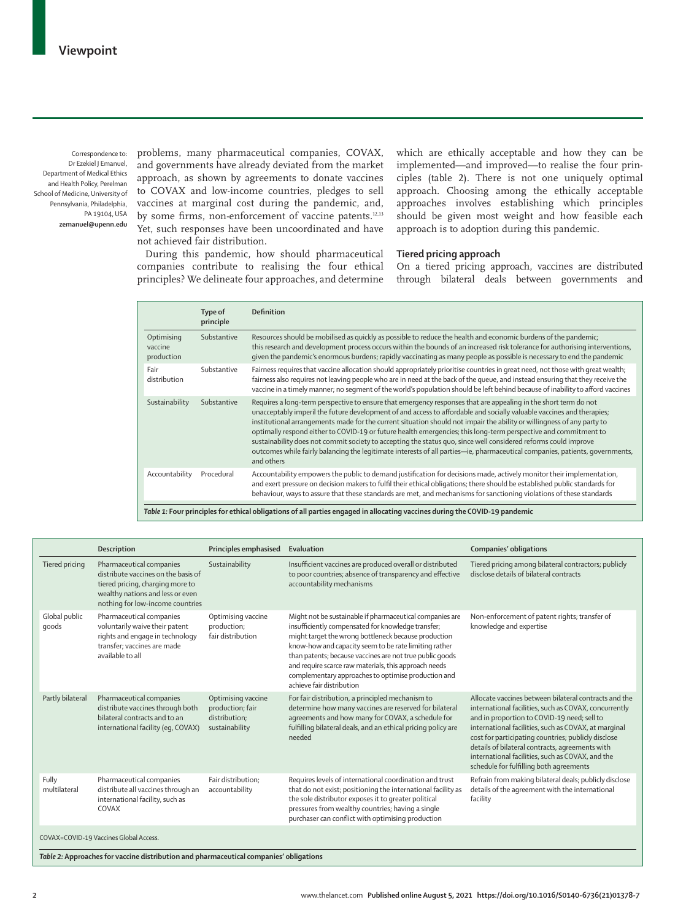Correspondence to: Dr Ezekiel J Emanuel, Department of Medical Ethics and Health Policy, Perelman School of Medicine, University of Pennsylvania, Philadelphia. PA 19104, USA **zemanuel@upenn.edu**

problems, many pharmaceutical companies, COVAX, and governments have already deviated from the market approach, as shown by agreements to donate vaccines to COVAX and low-income countries, pledges to sell vaccines at marginal cost during the pandemic, and, by some firms, non-enforcement of vaccine patents.<sup>12,13</sup> Yet, such responses have been uncoordinated and have not achieved fair distribution.

which are ethically acceptable and how they can be implemented—and improved—to realise the four principles (table 2). There is not one uniquely optimal approach. Choosing among the ethically acceptable approaches involves establishing which principles should be given most weight and how feasible each approach is to adoption during this pandemic.

During this pandemic, how should pharmaceutical companies contribute to realising the four ethical principles? We delineate four approaches, and determine **Tiered pricing approach**

On a tiered pricing approach, vaccines are distributed through bilateral deals between governments and

|                                     | Type of<br>principle | <b>Definition</b>                                                                                                                                                                                                                                                                                                                                                                                                                                                                                                                                                                                                                                                                                                                                      |
|-------------------------------------|----------------------|--------------------------------------------------------------------------------------------------------------------------------------------------------------------------------------------------------------------------------------------------------------------------------------------------------------------------------------------------------------------------------------------------------------------------------------------------------------------------------------------------------------------------------------------------------------------------------------------------------------------------------------------------------------------------------------------------------------------------------------------------------|
| Optimising<br>vaccine<br>production | Substantive          | Resources should be mobilised as quickly as possible to reduce the health and economic burdens of the pandemic;<br>this research and development process occurs within the bounds of an increased risk tolerance for authorising interventions,<br>given the pandemic's enormous burdens; rapidly vaccinating as many people as possible is necessary to end the pandemic                                                                                                                                                                                                                                                                                                                                                                              |
| Fair<br>distribution                | Substantive          | Fairness requires that vaccine allocation should appropriately prioritise countries in great need, not those with great wealth;<br>fairness also requires not leaving people who are in need at the back of the queue, and instead ensuring that they receive the<br>vaccine in a timely manner; no segment of the world's population should be left behind because of inability to afford vaccines                                                                                                                                                                                                                                                                                                                                                    |
| Sustainability                      | Substantive          | Requires a long-term perspective to ensure that emergency responses that are appealing in the short term do not<br>unacceptably imperil the future development of and access to affordable and socially valuable vaccines and therapies;<br>institutional arrangements made for the current situation should not impair the ability or willingness of any party to<br>optimally respond either to COVID-19 or future health emergencies; this long-term perspective and commitment to<br>sustainability does not commit society to accepting the status quo, since well considered reforms could improve<br>outcomes while fairly balancing the legitimate interests of all parties-ie, pharmaceutical companies, patients, governments,<br>and others |
| Accountability                      | Procedural           | Accountability empowers the public to demand justification for decisions made, actively monitor their implementation,<br>and exert pressure on decision makers to fulfil their ethical obligations; there should be established public standards for<br>behaviour, ways to assure that these standards are met, and mechanisms for sanctioning violations of these standards                                                                                                                                                                                                                                                                                                                                                                           |

|                                                                                        | Description                                                                                                                                                                 | Principles emphasised                                                     | Evaluation                                                                                                                                                                                                                                                                                                                                                                                                                               | Companies' obligations                                                                                                                                                                                                                                                                                                                                                                                                         |  |  |  |
|----------------------------------------------------------------------------------------|-----------------------------------------------------------------------------------------------------------------------------------------------------------------------------|---------------------------------------------------------------------------|------------------------------------------------------------------------------------------------------------------------------------------------------------------------------------------------------------------------------------------------------------------------------------------------------------------------------------------------------------------------------------------------------------------------------------------|--------------------------------------------------------------------------------------------------------------------------------------------------------------------------------------------------------------------------------------------------------------------------------------------------------------------------------------------------------------------------------------------------------------------------------|--|--|--|
| Tiered pricing                                                                         | Pharmaceutical companies<br>distribute vaccines on the basis of<br>tiered pricing, charging more to<br>wealthy nations and less or even<br>nothing for low-income countries | Sustainability                                                            | Insufficient vaccines are produced overall or distributed<br>to poor countries; absence of transparency and effective<br>accountability mechanisms                                                                                                                                                                                                                                                                                       | Tiered pricing among bilateral contractors; publicly<br>disclose details of bilateral contracts                                                                                                                                                                                                                                                                                                                                |  |  |  |
| Global public<br>qoods                                                                 | Pharmaceutical companies<br>voluntarily waive their patent<br>rights and engage in technology<br>transfer; vaccines are made<br>available to all                            | Optimising vaccine<br>production;<br>fair distribution                    | Might not be sustainable if pharmaceutical companies are<br>insufficiently compensated for knowledge transfer;<br>might target the wrong bottleneck because production<br>know-how and capacity seem to be rate limiting rather<br>than patents; because vaccines are not true public goods<br>and require scarce raw materials, this approach needs<br>complementary approaches to optimise production and<br>achieve fair distribution | Non-enforcement of patent rights; transfer of<br>knowledge and expertise                                                                                                                                                                                                                                                                                                                                                       |  |  |  |
| Partly bilateral                                                                       | Pharmaceutical companies<br>distribute vaccines through both<br>bilateral contracts and to an<br>international facility (eq, COVAX)                                         | Optimising vaccine<br>production; fair<br>distribution;<br>sustainability | For fair distribution, a principled mechanism to<br>determine how many vaccines are reserved for bilateral<br>agreements and how many for COVAX, a schedule for<br>fulfilling bilateral deals, and an ethical pricing policy are<br>needed                                                                                                                                                                                               | Allocate vaccines between bilateral contracts and the<br>international facilities, such as COVAX, concurrently<br>and in proportion to COVID-19 need; sell to<br>international facilities, such as COVAX, at marginal<br>cost for participating countries; publicly disclose<br>details of bilateral contracts, agreements with<br>international facilities, such as COVAX, and the<br>schedule for fulfilling both agreements |  |  |  |
| Fully<br>multilateral                                                                  | Pharmaceutical companies<br>distribute all vaccines through an<br>international facility, such as<br>COVAX                                                                  | Fair distribution;<br>accountability                                      | Requires levels of international coordination and trust<br>that do not exist; positioning the international facility as<br>the sole distributor exposes it to greater political<br>pressures from wealthy countries; having a single<br>purchaser can conflict with optimising production                                                                                                                                                | Refrain from making bilateral deals; publicly disclose<br>details of the agreement with the international<br>facility                                                                                                                                                                                                                                                                                                          |  |  |  |
| COVAX=COVID-19 Vaccines Global Access.                                                 |                                                                                                                                                                             |                                                                           |                                                                                                                                                                                                                                                                                                                                                                                                                                          |                                                                                                                                                                                                                                                                                                                                                                                                                                |  |  |  |
| Table 2: Approaches for vaccine distribution and pharmaceutical companies' obligations |                                                                                                                                                                             |                                                                           |                                                                                                                                                                                                                                                                                                                                                                                                                                          |                                                                                                                                                                                                                                                                                                                                                                                                                                |  |  |  |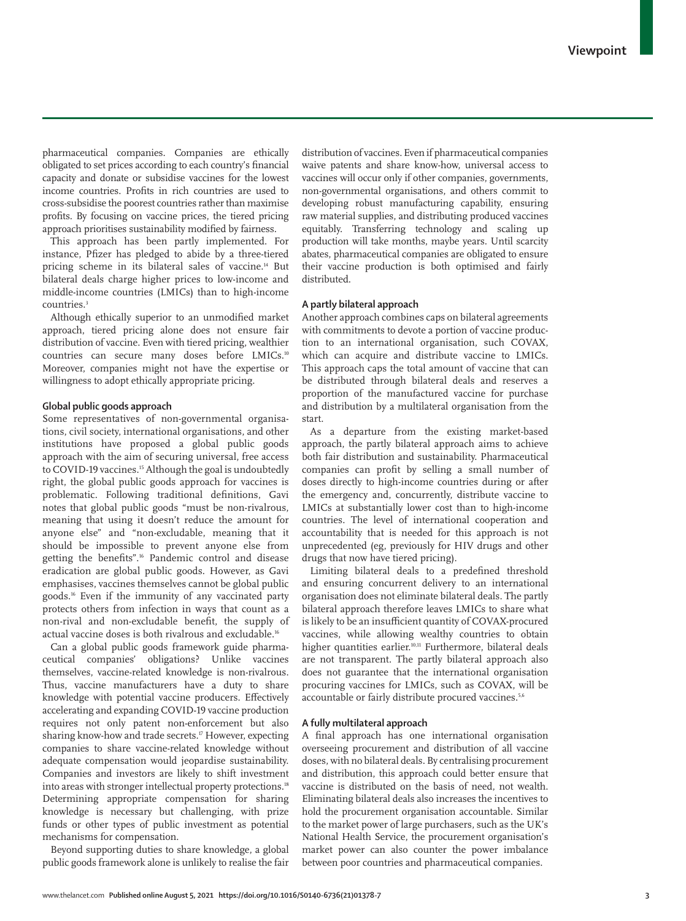pharmaceutical companies. Companies are ethically obligated to set prices according to each country's financial capacity and donate or subsidise vaccines for the lowest income countries. Profits in rich countries are used to cross-subsidise the poorest countries rather than maximise profits. By focusing on vaccine prices, the tiered pricing approach prioritises sustainability modified by fairness.

This approach has been partly implemented. For instance, Pfizer has pledged to abide by a three-tiered pricing scheme in its bilateral sales of vaccine.14 But bilateral deals charge higher prices to low-income and middle-income countries (LMICs) than to high-income countries.3

Although ethically superior to an unmodified market approach, tiered pricing alone does not ensure fair distribution of vaccine. Even with tiered pricing, wealthier countries can secure many doses before LMICs.<sup>10</sup> Moreover, companies might not have the expertise or willingness to adopt ethically appropriate pricing.

# **Global public goods approach**

Some representatives of non-governmental organisations, civil society, international organisations, and other institutions have proposed a global public goods approach with the aim of securing universal, free access to COVID-19 vaccines.<sup>15</sup> Although the goal is undoubtedly right, the global public goods approach for vaccines is problematic. Following traditional definitions, Gavi notes that global public goods "must be non-rivalrous, meaning that using it doesn't reduce the amount for anyone else" and "non-excludable, meaning that it should be impossible to prevent anyone else from getting the benefits".16 Pandemic control and disease eradication are global public goods. However, as Gavi emphasises, vaccines themselves cannot be global public goods.16 Even if the immunity of any vaccinated party protects others from infection in ways that count as a non-rival and non-excludable benefit, the supply of actual vaccine doses is both rivalrous and excludable.16

Can a global public goods framework guide pharmaceutical companies' obligations? Unlike vaccines themselves, vaccine-related knowledge is non-rivalrous. Thus, vaccine manufacturers have a duty to share knowledge with potential vaccine producers. Effectively accelerating and expanding COVID-19 vaccine production requires not only patent non-enforcement but also sharing know-how and trade secrets.<sup>17</sup> However, expecting companies to share vaccine-related knowledge without adequate compensation would jeopardise sustainability. Companies and investors are likely to shift investment into areas with stronger intellectual property protections.<sup>18</sup> Determining appropriate compensation for sharing knowledge is necessary but challenging, with prize funds or other types of public investment as potential mechanisms for compensation.

Beyond supporting duties to share knowledge, a global public goods framework alone is unlikely to realise the fair distribution of vaccines. Even if pharmaceutical companies waive patents and share know-how, universal access to vaccines will occur only if other companies, governments, non-governmental organisations, and others commit to developing robust manufacturing capability, ensuring raw material supplies, and distributing produced vaccines equitably. Transferring technology and scaling up production will take months, maybe years. Until scarcity abates, pharmaceutical companies are obligated to ensure their vaccine production is both optimised and fairly distributed.

# **A partly bilateral approach**

Another approach combines caps on bilateral agreements with commitments to devote a portion of vaccine production to an international organisation, such COVAX, which can acquire and distribute vaccine to LMICs. This approach caps the total amount of vaccine that can be distributed through bilateral deals and reserves a proportion of the manufactured vaccine for purchase and distribution by a multilateral organisation from the start.

As a departure from the existing market-based approach, the partly bilateral approach aims to achieve both fair distribution and sustainability. Pharmaceutical companies can profit by selling a small number of doses directly to high-income countries during or after the emergency and, concurrently, distribute vaccine to LMICs at substantially lower cost than to high-income countries. The level of international cooperation and accountability that is needed for this approach is not unprecedented (eg, previously for HIV drugs and other drugs that now have tiered pricing).

Limiting bilateral deals to a predefined threshold and ensuring concurrent delivery to an international organisation does not eliminate bilateral deals. The partly bilateral approach therefore leaves LMICs to share what is likely to be an insufficient quantity of COVAX-procured vaccines, while allowing wealthy countries to obtain higher quantities earlier.<sup>10,11</sup> Furthermore, bilateral deals are not transparent. The partly bilateral approach also does not guarantee that the international organisation procuring vaccines for LMICs, such as COVAX, will be accountable or fairly distribute procured vaccines.<sup>5,6</sup>

## **A fully multilateral approach**

A final approach has one international organisation overseeing procurement and distribution of all vaccine doses, with no bilateral deals. By centralising procurement and distribution, this approach could better ensure that vaccine is distributed on the basis of need, not wealth. Eliminating bilateral deals also increases the incentives to hold the procurement organisation accountable. Similar to the market power of large purchasers, such as the UK's National Health Service, the procurement organisation's market power can also counter the power imbalance between poor countries and pharmaceutical companies.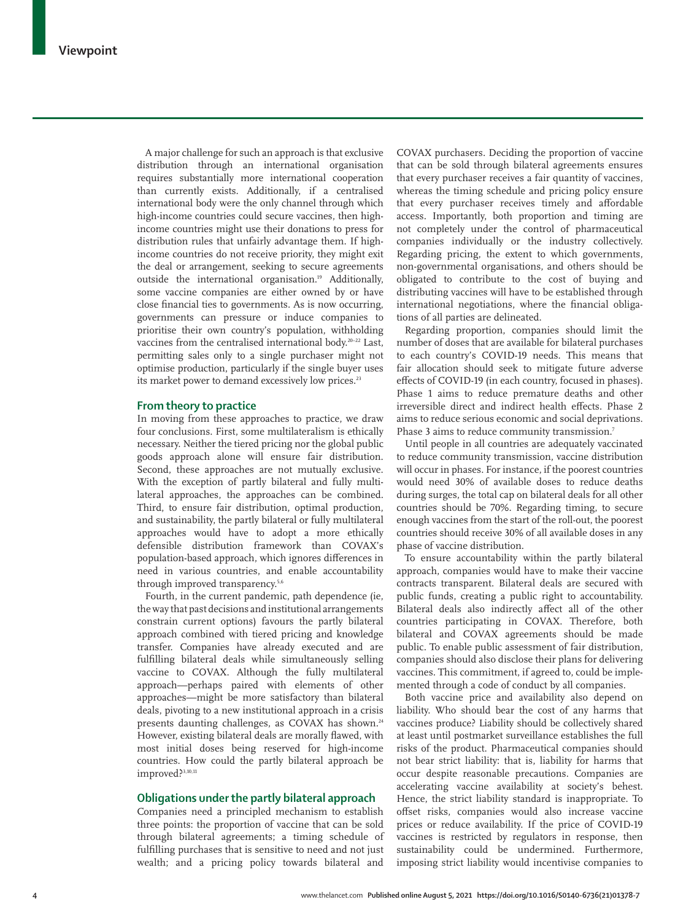A major challenge for such an approach is that exclusive distribution through an international organisation requires substantially more international cooperation than currently exists. Additionally, if a centralised international body were the only channel through which high-income countries could secure vaccines, then highincome countries might use their donations to press for distribution rules that unfairly advantage them. If highincome countries do not receive priority, they might exit the deal or arrangement, seeking to secure agreements outside the international organisation.<sup>19</sup> Additionally, some vaccine companies are either owned by or have close financial ties to governments. As is now occurring, governments can pressure or induce companies to prioritise their own country's population, withholding vaccines from the centralised international body.<sup>20-22</sup> Last, permitting sales only to a single purchaser might not optimise production, particularly if the single buyer uses its market power to demand excessively low prices.<sup>23</sup>

# **From theory to practice**

In moving from these approaches to practice, we draw four conclusions. First, some multilateralism is ethically necessary. Neither the tiered pricing nor the global public goods approach alone will ensure fair distribution. Second, these approaches are not mutually exclusive. With the exception of partly bilateral and fully multilateral approaches, the approaches can be combined. Third, to ensure fair distribution, optimal production, and sustainability, the partly bilateral or fully multilateral approaches would have to adopt a more ethically defensible distribution framework than COVAX's population-based approach, which ignores differences in need in various countries, and enable accountability through improved transparency.<sup>5,6</sup>

Fourth, in the current pandemic, path dependence (ie, the way that past decisions and institutional arrangements constrain current options) favours the partly bilateral approach combined with tiered pricing and knowledge transfer. Companies have already executed and are fulfilling bilateral deals while simultaneously selling vaccine to COVAX. Although the fully multilateral approach—perhaps paired with elements of other approaches—might be more satisfactory than bilateral deals, pivoting to a new institutional approach in a crisis presents daunting challenges, as COVAX has shown.<sup>24</sup> However, existing bilateral deals are morally flawed, with most initial doses being reserved for high-income countries. How could the partly bilateral approach be improved?3,10,11

# **Obligations under the partly bilateral approach**

Companies need a principled mechanism to establish three points: the proportion of vaccine that can be sold through bilateral agreements; a timing schedule of fulfilling purchases that is sensitive to need and not just wealth; and a pricing policy towards bilateral and COVAX purchasers. Deciding the proportion of vaccine that can be sold through bilateral agreements ensures that every purchaser receives a fair quantity of vaccines, whereas the timing schedule and pricing policy ensure that every purchaser receives timely and affordable access. Importantly, both proportion and timing are not completely under the control of pharmaceutical companies individually or the industry collectively. Regarding pricing, the extent to which governments, non-governmental organisations, and others should be obligated to contribute to the cost of buying and distributing vaccines will have to be established through international negotiations, where the financial obligations of all parties are delineated.

Regarding proportion, companies should limit the number of doses that are available for bilateral purchases to each country's COVID-19 needs. This means that fair allocation should seek to mitigate future adverse effects of COVID-19 (in each country, focused in phases). Phase 1 aims to reduce premature deaths and other irreversible direct and indirect health effects. Phase 2 aims to reduce serious economic and social deprivations. Phase 3 aims to reduce community transmission.<sup>7</sup>

Until people in all countries are adequately vaccinated to reduce community transmission, vaccine distribution will occur in phases. For instance, if the poorest countries would need 30% of available doses to reduce deaths during surges, the total cap on bilateral deals for all other countries should be 70%. Regarding timing, to secure enough vaccines from the start of the roll-out, the poorest countries should receive 30% of all available doses in any phase of vaccine distribution.

To ensure accountability within the partly bilateral approach, companies would have to make their vaccine contracts transparent. Bilateral deals are secured with public funds, creating a public right to accountability. Bilateral deals also indirectly affect all of the other countries participating in COVAX. Therefore, both bilateral and COVAX agreements should be made public. To enable public assessment of fair distribution, companies should also disclose their plans for delivering vaccines. This commitment, if agreed to, could be implemented through a code of conduct by all companies.

Both vaccine price and availability also depend on liability. Who should bear the cost of any harms that vaccines produce? Liability should be collectively shared at least until postmarket surveillance establishes the full risks of the product. Pharmaceutical companies should not bear strict liability: that is, liability for harms that occur despite reasonable precautions. Companies are accelerating vaccine availability at society's behest. Hence, the strict liability standard is inappropriate. To offset risks, companies would also increase vaccine prices or reduce availability. If the price of COVID-19 vaccines is restricted by regulators in response, then sustainability could be undermined. Furthermore, imposing strict liability would incentivise companies to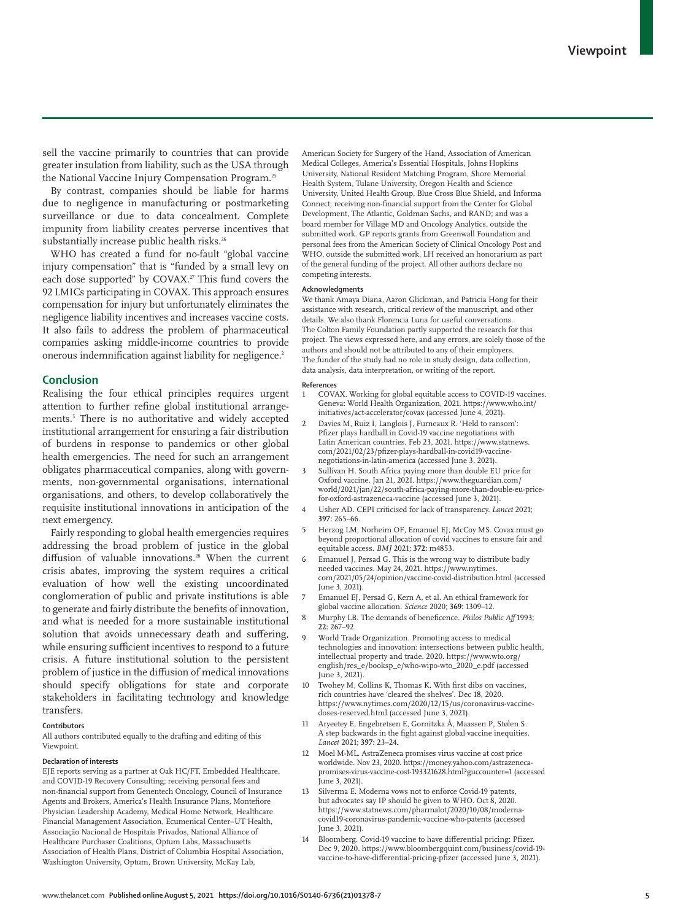sell the vaccine primarily to countries that can provide greater insulation from liability, such as the USA through the National Vaccine Injury Compensation Program.25

By contrast, companies should be liable for harms due to negligence in manufacturing or postmarketing surveillance or due to data concealment. Complete impunity from liability creates perverse incentives that substantially increase public health risks.<sup>26</sup>

WHO has created a fund for no-fault "global vaccine injury compensation" that is "funded by a small levy on each dose supported" by  $COVAX$ .<sup>27</sup> This fund covers the 92 LMICs participating in COVAX. This approach ensures compensation for injury but unfortunately eliminates the negligence liability incentives and increases vaccine costs. It also fails to address the problem of pharmaceutical companies asking middle-income countries to provide onerous indemnification against liability for negligence.<sup>2</sup>

## **Conclusion**

Realising the four ethical principles requires urgent attention to further refine global institutional arrangements.5 There is no authoritative and widely accepted institutional arrangement for ensuring a fair distribution of burdens in response to pandemics or other global health emergencies. The need for such an arrangement obligates pharmaceutical companies, along with governments, non-governmental organisations, international organisations, and others, to develop collaboratively the requisite institutional innovations in anticipation of the next emergency.

Fairly responding to global health emergencies requires addressing the broad problem of justice in the global diffusion of valuable innovations.<sup>28</sup> When the current crisis abates, improving the system requires a critical evaluation of how well the existing uncoordinated conglomeration of public and private institutions is able to generate and fairly distribute the benefits of innovation, and what is needed for a more sustainable institutional solution that avoids unnecessary death and suffering, while ensuring sufficient incentives to respond to a future crisis. A future institutional solution to the persistent problem of justice in the diffusion of medical innovations should specify obligations for state and corporate stakeholders in facilitating technology and knowledge transfers.

#### **Contributors**

All authors contributed equally to the drafting and editing of this Viewpoint.

### **Declaration of interests**

EJE reports serving as a partner at Oak HC/FT, Embedded Healthcare, and COVID-19 Recovery Consulting; receiving personal fees and non-financial support from Genentech Oncology, Council of Insurance Agents and Brokers, America's Health Insurance Plans, Montefiore Physician Leadership Academy, Medical Home Network, Healthcare Financial Management Association, Ecumenical Center–UT Health, Associação Nacional de Hospitais Privados, National Alliance of Healthcare Purchaser Coalitions, Optum Labs, Massachusetts Association of Health Plans, District of Columbia Hospital Association, Washington University, Optum, Brown University, McKay Lab,

American Society for Surgery of the Hand, Association of American Medical Colleges, America's Essential Hospitals, Johns Hopkins University, National Resident Matching Program, Shore Memorial Health System, Tulane University, Oregon Health and Science University, United Health Group, Blue Cross Blue Shield, and Informa Connect; receiving non-financial support from the Center for Global Development, The Atlantic, Goldman Sachs, and RAND; and was a board member for Village MD and Oncology Analytics, outside the submitted work. GP reports grants from Greenwall Foundation and personal fees from the American Society of Clinical Oncology Post and WHO, outside the submitted work. LH received an honorarium as part of the general funding of the project. All other authors declare no competing interests.

#### **Acknowledgments**

We thank Amaya Diana, Aaron Glickman, and Patricia Hong for their assistance with research, critical review of the manuscript, and other details. We also thank Florencia Luna for useful conversations. The Colton Family Foundation partly supported the research for this project. The views expressed here, and any errors, are solely those of the authors and should not be attributed to any of their employers. The funder of the study had no role in study design, data collection, data analysis, data interpretation, or writing of the report.

#### **References**

- 1 COVAX. Working for global equitable access to COVID-19 vaccines. Geneva: World Health Organization, 2021. https://www.who.int/ initiatives/act-accelerator/covax (accessed June 4, 2021).
- 2 Davies M, Ruiz I, Langlois J, Furneaux R. 'Held to ransom': Pfizer plays hardball in Covid-19 vaccine negotiations with Latin American countries. Feb 23, 2021. https://www.statnews. com/2021/02/23/pfizer-plays-hardball-in-covid19-vaccinenegotiations-in-latin-america (accessed June 3, 2021).
- 3 Sullivan H. South Africa paying more than double EU price for Oxford vaccine. Jan 21, 2021. https://www.theguardian.com/ world/2021/jan/22/south-africa-paying-more-than-double-eu-pricefor-oxford-astrazeneca-vaccine (accessed June 3, 2021).
- 4 Usher AD. CEPI criticised for lack of transparency. *Lancet* 2021; **397:** 265–66.
- 5 Herzog LM, Norheim OF, Emanuel EJ, McCoy MS. Covax must go beyond proportional allocation of covid vaccines to ensure fair and equitable access. *BMJ* 2021; **372:** m4853.
- Emanuel J, Persad G. This is the wrong way to distribute badly needed vaccines. May 24, 2021. https://www.nytimes. com/2021/05/24/opinion/vaccine-covid-distribution.html (accessed June 3, 2021).
- 7 Emanuel EJ, Persad G, Kern A, et al. An ethical framework for global vaccine allocation. *Science* 2020; **369:** 1309–12.
- 8 Murphy LB. The demands of beneficence. *Philos Public Aff* 1993; **22:** 267–92.
- World Trade Organization. Promoting access to medical technologies and innovation: intersections between public health, intellectual property and trade. 2020. https://www.wto.org/ english/res\_e/booksp\_e/who-wipo-wto\_2020\_e.pdf (accessed June 3, 2021).
- 10 Twohey M, Collins K, Thomas K. With first dibs on vaccines, rich countries have 'cleared the shelves'. Dec 18, 2020. https://www.nytimes.com/2020/12/15/us/coronavirus-vaccinedoses-reserved.html (accessed June 3, 2021).
- 11 Aryeetey E, Engebretsen E, Gornitzka Å, Maassen P, Stølen S. A step backwards in the fight against global vaccine inequities. *Lancet* 2021; **397:** 23–24.
- 12 Moel M-ML. AstraZeneca promises virus vaccine at cost price worldwide. Nov 23, 2020. https://money.yahoo.com/astrazenecapromises-virus-vaccine-cost-193321628.html?guccounter=1 (accessed June 3, 2021).
- Silverma E. Moderna vows not to enforce Covid-19 patents, but advocates say IP should be given to WHO. Oct 8, 2020. https://www.statnews.com/pharmalot/2020/10/08/modernacovid19-coronavirus-pandemic-vaccine-who-patents (accessed June 3, 2021).
- 14 Bloomberg. Covid-19 vaccine to have differential pricing: Pfizer. Dec 9, 2020. https://www.bloombergquint.com/business/covid-19 vaccine-to-have-differential-pricing-pfizer (accessed June 3, 2021).